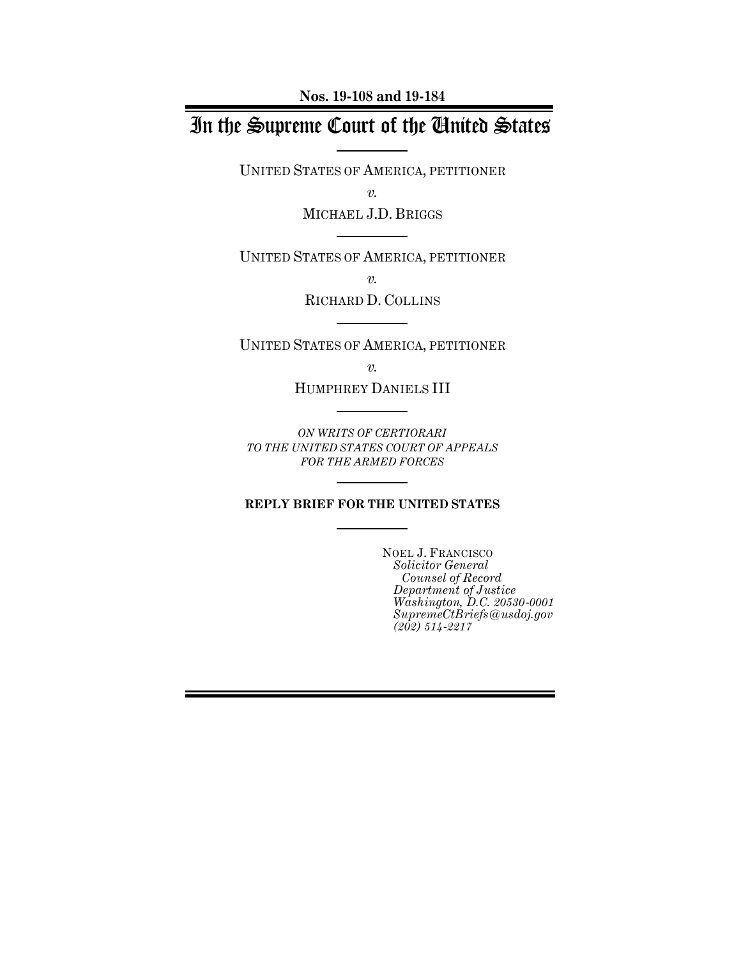**Nos. 19-108 and 19-184**

# In the Supreme Court of the United States

UNITED STATES OF AMERICA, PETITIONER

*v.*

MICHAEL J.D. BRIGGS

UNITED STATES OF AMERICA, PETITIONER

*v.*

RICHARD D. COLLINS

UNITED STATES OF AMERICA, PETITIONER

*v.*

HUMPHREY DANIELS III

*ON WRITS OF CERTIORARI TO THE UNITED STATES COURT OF APPEALS FOR THE ARMED FORCES*

#### **REPLY BRIEF FOR THE UNITED STATES**

NOEL J. FRANCISCO *Solicitor General Counsel of Record Department of Justice Washington, D.C. 20530-0001 SupremeCtBriefs@usdoj.gov (202) 514-2217*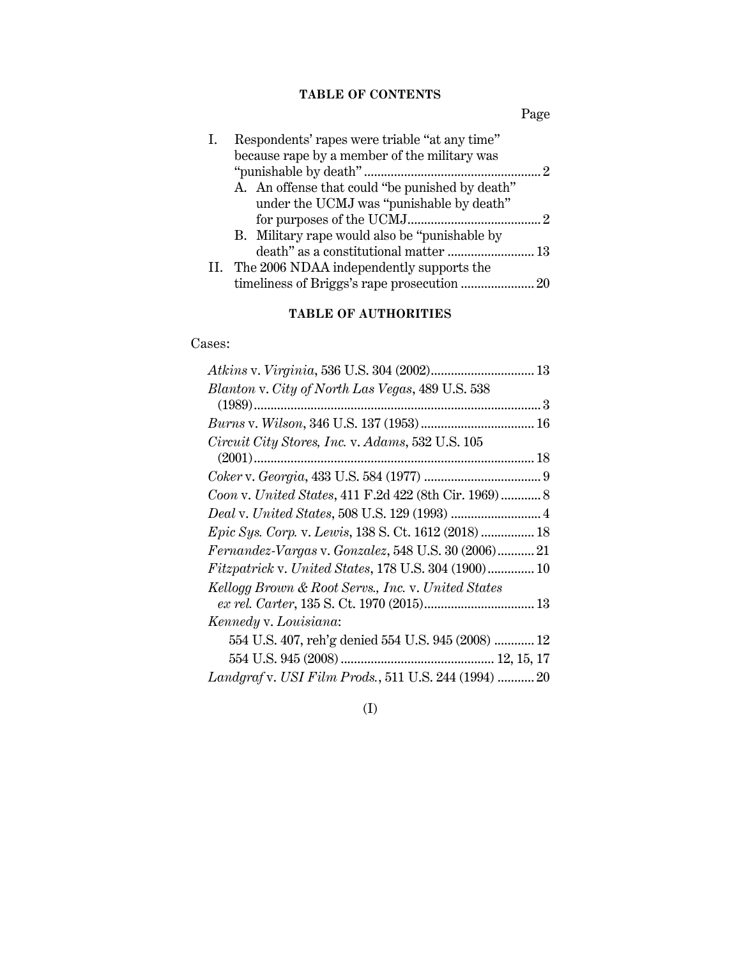## **TABLE OF CONTENTS**

Page

| Ι. | Respondents' rapes were triable "at any time"   |   |
|----|-------------------------------------------------|---|
|    | because rape by a member of the military was    |   |
|    |                                                 | 2 |
|    | A. An offense that could "be punished by death" |   |
|    | under the UCMJ was "punishable by death"        |   |
|    |                                                 |   |
|    | B. Military rape would also be "punishable by   |   |
|    |                                                 |   |
|    | II. The 2006 NDAA independently supports the    |   |
|    |                                                 |   |
|    |                                                 |   |

## **TABLE OF AUTHORITIES**

## Cases:

(I)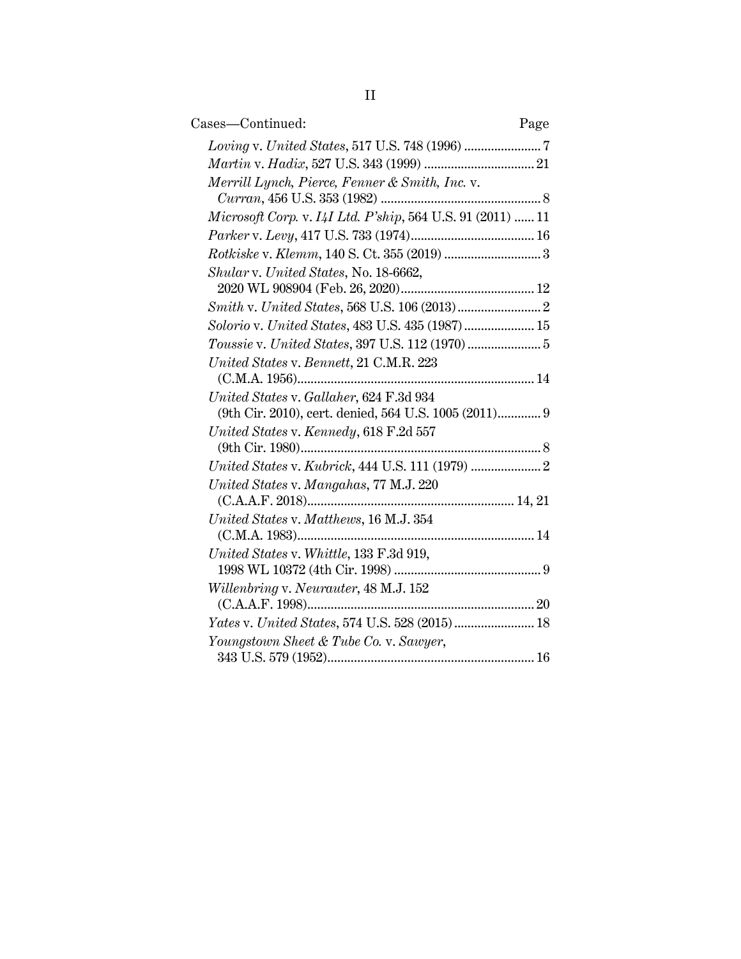| Cases—Continued:                                                                                 | Page |
|--------------------------------------------------------------------------------------------------|------|
|                                                                                                  |      |
|                                                                                                  |      |
| Merrill Lynch, Pierce, Fenner & Smith, Inc. v.                                                   |      |
|                                                                                                  |      |
| Microsoft Corp. v. I4I Ltd. P'ship, 564 U.S. 91 (2011)  11                                       |      |
|                                                                                                  |      |
|                                                                                                  |      |
| Shular v. United States, No. 18-6662,                                                            |      |
|                                                                                                  |      |
| $Smith \; v. \; United\; States, 568 \; U.S. \; 106 \; (2013) \; … \; … \; … \; … \; .2$         |      |
| Solorio v. United States, 483 U.S. 435 (1987) 15                                                 |      |
|                                                                                                  |      |
| United States v. Bennett, 21 C.M.R. 223                                                          |      |
| United States v. Gallaher, 624 F.3d 934<br>(9th Cir. 2010), cert. denied, 564 U.S. 1005 (2011) 9 |      |
| United States v. Kennedy, 618 F.2d 557                                                           |      |
|                                                                                                  |      |
| United States v. Mangahas, 77 M.J. 220                                                           |      |
| United States v. Matthews, 16 M.J. 354                                                           |      |
| United States v. Whittle, 133 F.3d 919,                                                          |      |
| Willenbring v. Neurauter, 48 M.J. 152                                                            |      |
| (C.A.A.F. 1998)                                                                                  |      |
| Yates v. United States, 574 U.S. 528 (2015) 18                                                   |      |
| Youngstown Sheet & Tube Co. v. Sawyer,                                                           |      |
|                                                                                                  |      |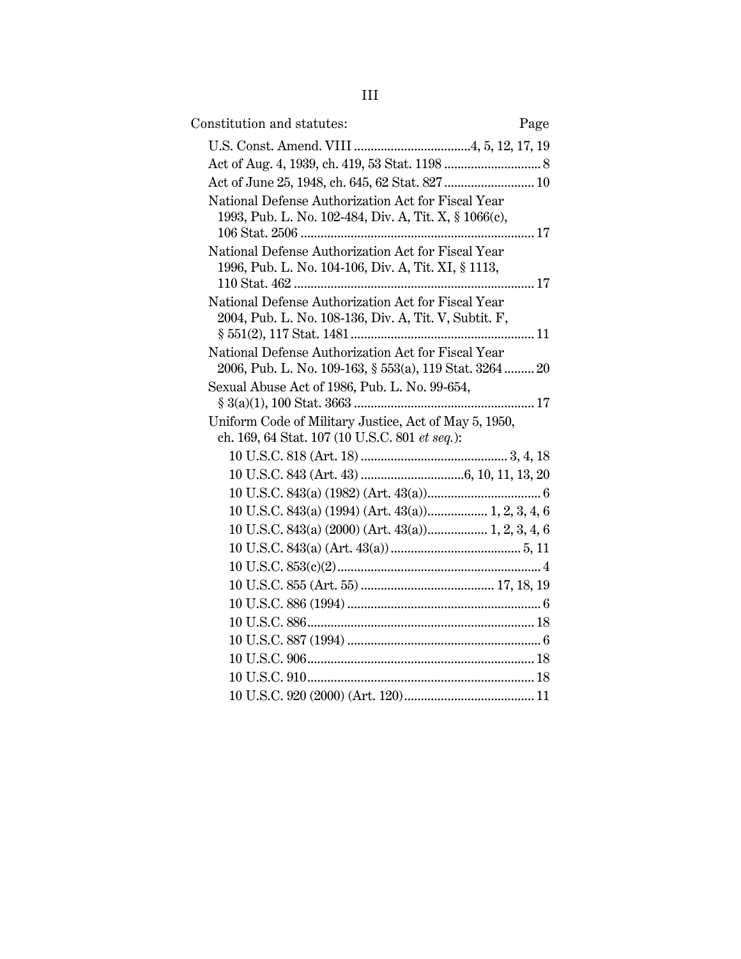| Constitution and statutes:                                                                                    | Page |
|---------------------------------------------------------------------------------------------------------------|------|
|                                                                                                               |      |
|                                                                                                               |      |
| Act of June 25, 1948, ch. 645, 62 Stat. 827  10                                                               |      |
| National Defense Authorization Act for Fiscal Year<br>1993, Pub. L. No. 102-484, Div. A, Tit. X, § 1066(c),   |      |
| National Defense Authorization Act for Fiscal Year<br>1996, Pub. L. No. 104-106, Div. A, Tit. XI, § 1113,     |      |
| National Defense Authorization Act for Fiscal Year<br>2004, Pub. L. No. 108-136, Div. A, Tit. V, Subtit. F,   |      |
| National Defense Authorization Act for Fiscal Year<br>2006, Pub. L. No. 109-163, § 553(a), 119 Stat. 3264  20 |      |
| Sexual Abuse Act of 1986, Pub. L. No. 99-654,                                                                 |      |
|                                                                                                               |      |
| Uniform Code of Military Justice, Act of May 5, 1950,                                                         |      |
| ch. 169, 64 Stat. 107 (10 U.S.C. 801 et seq.):                                                                |      |
|                                                                                                               |      |
|                                                                                                               |      |
|                                                                                                               |      |
| 10 U.S.C. 843(a) (1994) (Art. 43(a)) 1, 2, 3, 4, 6                                                            |      |
| 10 U.S.C. 843(a) (2000) (Art. 43(a)) 1, 2, 3, 4, 6                                                            |      |
|                                                                                                               |      |
|                                                                                                               |      |
|                                                                                                               |      |
|                                                                                                               |      |
|                                                                                                               |      |
|                                                                                                               |      |
|                                                                                                               |      |
|                                                                                                               |      |
|                                                                                                               |      |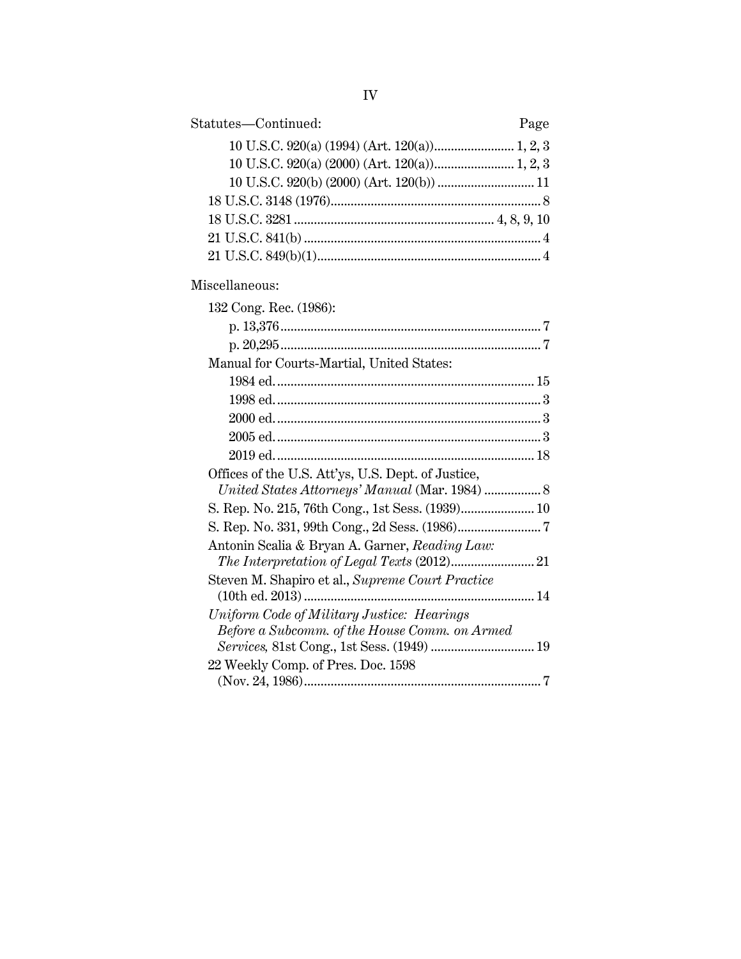| Statutes—Continued:<br>Page                                                                 |
|---------------------------------------------------------------------------------------------|
|                                                                                             |
|                                                                                             |
|                                                                                             |
|                                                                                             |
|                                                                                             |
|                                                                                             |
|                                                                                             |
| Miscellaneous:                                                                              |
| 132 Cong. Rec. (1986):                                                                      |
|                                                                                             |
|                                                                                             |
| Manual for Courts-Martial, United States:                                                   |
|                                                                                             |
|                                                                                             |
|                                                                                             |
|                                                                                             |
|                                                                                             |
| Offices of the U.S. Att'ys, U.S. Dept. of Justice,                                          |
| United States Attorneys' Manual (Mar. 1984)  8                                              |
| S. Rep. No. 215, 76th Cong., 1st Sess. (1939) 10                                            |
|                                                                                             |
| Antonin Scalia & Bryan A. Garner, Reading Law:                                              |
| Steven M. Shapiro et al., Supreme Court Practice                                            |
| (10th ed. 2013)                                                                             |
| Uniform Code of Military Justice: Hearings<br>Before a Subcomm. of the House Comm. on Armed |
|                                                                                             |
| 22 Weekly Comp. of Pres. Doc. 1598                                                          |

2 weekly comp. of 11es. Doc. 1888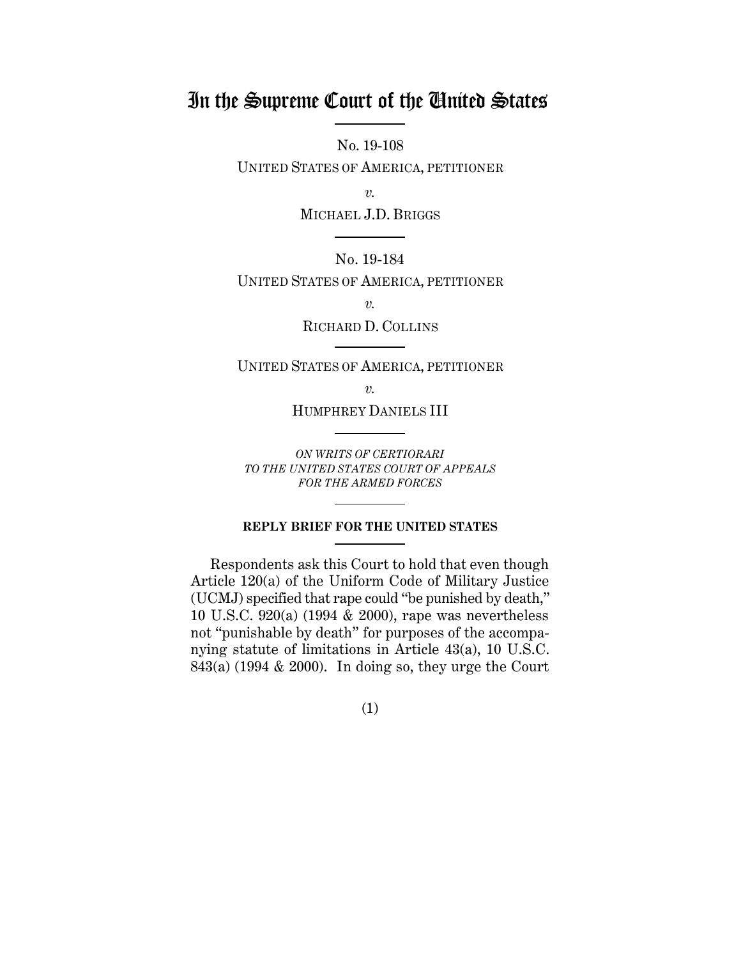# In the Supreme Court of the United States

No. 19-108

UNITED STATES OF AMERICA, PETITIONER

*v.*

MICHAEL J.D. BRIGGS

No. 19-184 UNITED STATES OF AMERICA, PETITIONER

*v.*

RICHARD D. COLLINS

UNITED STATES OF AMERICA, PETITIONER

*v.*

HUMPHREY DANIELS III

*ON WRITS OF CERTIORARI TO THE UNITED STATES COURT OF APPEALS FOR THE ARMED FORCES*

#### **REPLY BRIEF FOR THE UNITED STATES**

Respondents ask this Court to hold that even though Article 120(a) of the Uniform Code of Military Justice (UCMJ) specified that rape could "be punished by death," 10 U.S.C. 920(a) (1994 & 2000), rape was nevertheless not "punishable by death" for purposes of the accompanying statute of limitations in Article 43(a), 10 U.S.C.  $843(a)$  (1994 & 2000). In doing so, they urge the Court

(1)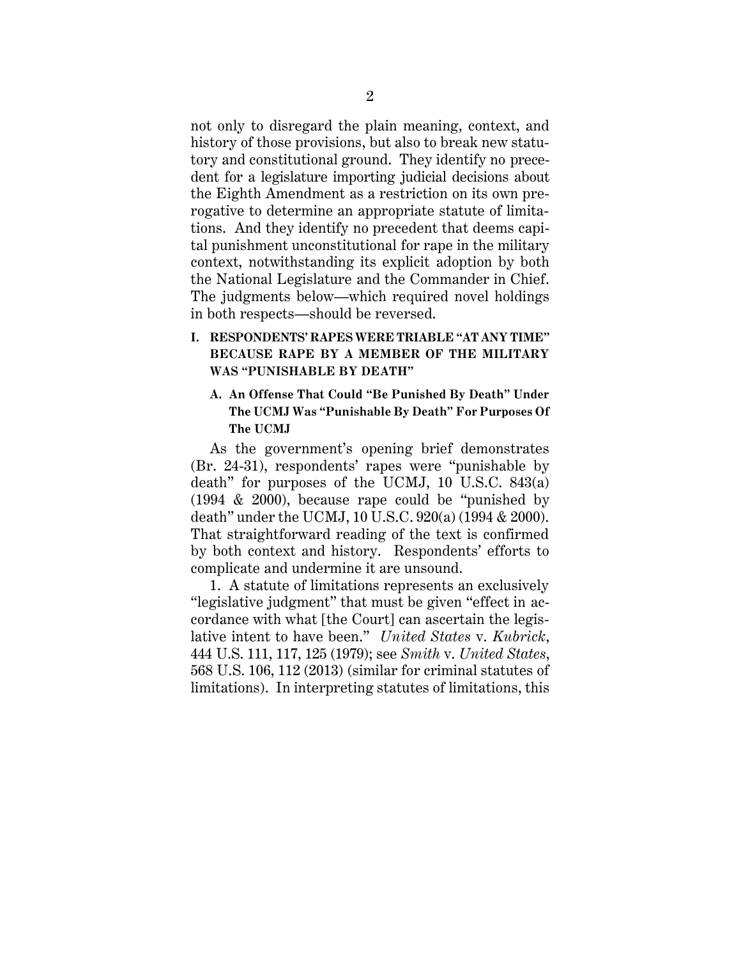not only to disregard the plain meaning, context, and history of those provisions, but also to break new statutory and constitutional ground. They identify no precedent for a legislature importing judicial decisions about the Eighth Amendment as a restriction on its own prerogative to determine an appropriate statute of limitations. And they identify no precedent that deems capital punishment unconstitutional for rape in the military context, notwithstanding its explicit adoption by both the National Legislature and the Commander in Chief. The judgments below—which required novel holdings in both respects—should be reversed.

### **I. RESPONDENTS' RAPES WERE TRIABLE "AT ANY TIME" BECAUSE RAPE BY A MEMBER OF THE MILITARY WAS "PUNISHABLE BY DEATH"**

### **A. An Offense That Could "Be Punished By Death" Under The UCMJ Was "Punishable By Death" For Purposes Of The UCMJ**

As the government's opening brief demonstrates (Br. 24-31), respondents' rapes were "punishable by death" for purposes of the UCMJ, 10 U.S.C. 843(a) (1994 & 2000), because rape could be "punished by death" under the UCMJ, 10 U.S.C. 920(a) (1994 & 2000). That straightforward reading of the text is confirmed by both context and history. Respondents' efforts to complicate and undermine it are unsound.

1. A statute of limitations represents an exclusively "legislative judgment" that must be given "effect in accordance with what [the Court] can ascertain the legislative intent to have been." *United States* v. *Kubrick*, 444 U.S. 111, 117, 125 (1979); see *Smith* v. *United States*, 568 U.S. 106, 112 (2013) (similar for criminal statutes of limitations). In interpreting statutes of limitations, this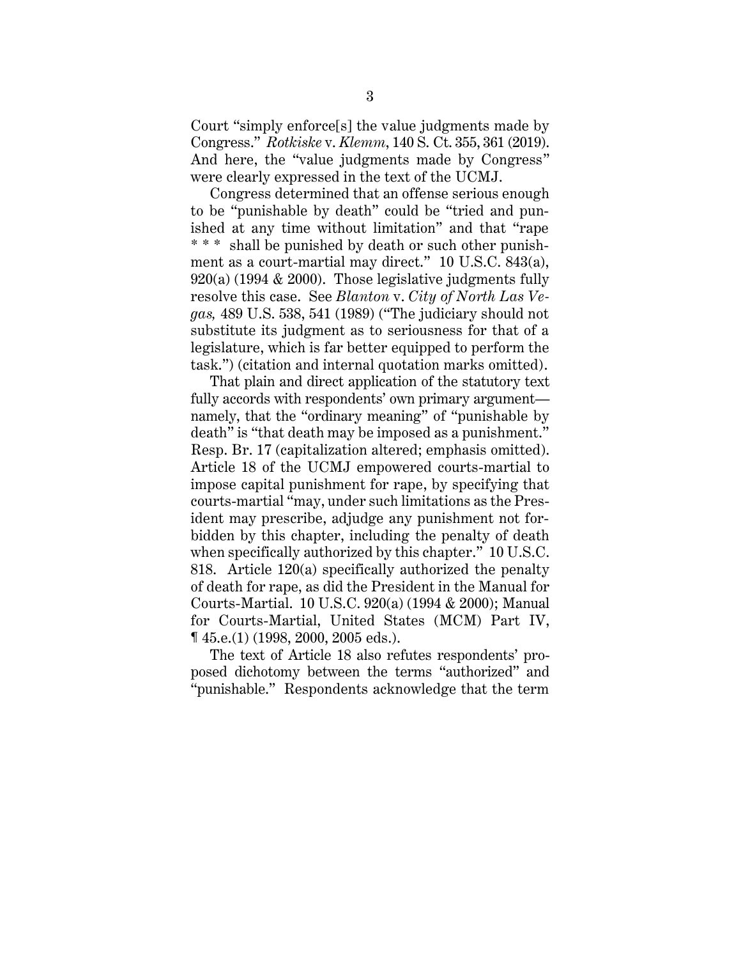Court "simply enforce[s] the value judgments made by Congress." *Rotkiske* v. *Klemm*, 140 S. Ct. 355, 361 (2019). And here, the "value judgments made by Congress" were clearly expressed in the text of the UCMJ.

Congress determined that an offense serious enough to be "punishable by death" could be "tried and punished at any time without limitation" and that "rape \* \* \* shall be punished by death or such other punishment as a court-martial may direct." 10 U.S.C. 843(a), 920(a) (1994 & 2000). Those legislative judgments fully resolve this case. See *Blanton* v. *City of North Las Vegas,* 489 U.S. 538, 541 (1989) ("The judiciary should not substitute its judgment as to seriousness for that of a legislature, which is far better equipped to perform the task.") (citation and internal quotation marks omitted).

That plain and direct application of the statutory text fully accords with respondents' own primary argument namely, that the "ordinary meaning" of "punishable by death" is "that death may be imposed as a punishment." Resp. Br. 17 (capitalization altered; emphasis omitted). Article 18 of the UCMJ empowered courts-martial to impose capital punishment for rape, by specifying that courts-martial "may, under such limitations as the President may prescribe, adjudge any punishment not forbidden by this chapter, including the penalty of death when specifically authorized by this chapter." 10 U.S.C. 818. Article 120(a) specifically authorized the penalty of death for rape, as did the President in the Manual for Courts-Martial. 10 U.S.C. 920(a) (1994 & 2000); Manual for Courts-Martial, United States (MCM) Part IV, ¶ 45.e.(1) (1998, 2000, 2005 eds.).

The text of Article 18 also refutes respondents' proposed dichotomy between the terms "authorized" and "punishable." Respondents acknowledge that the term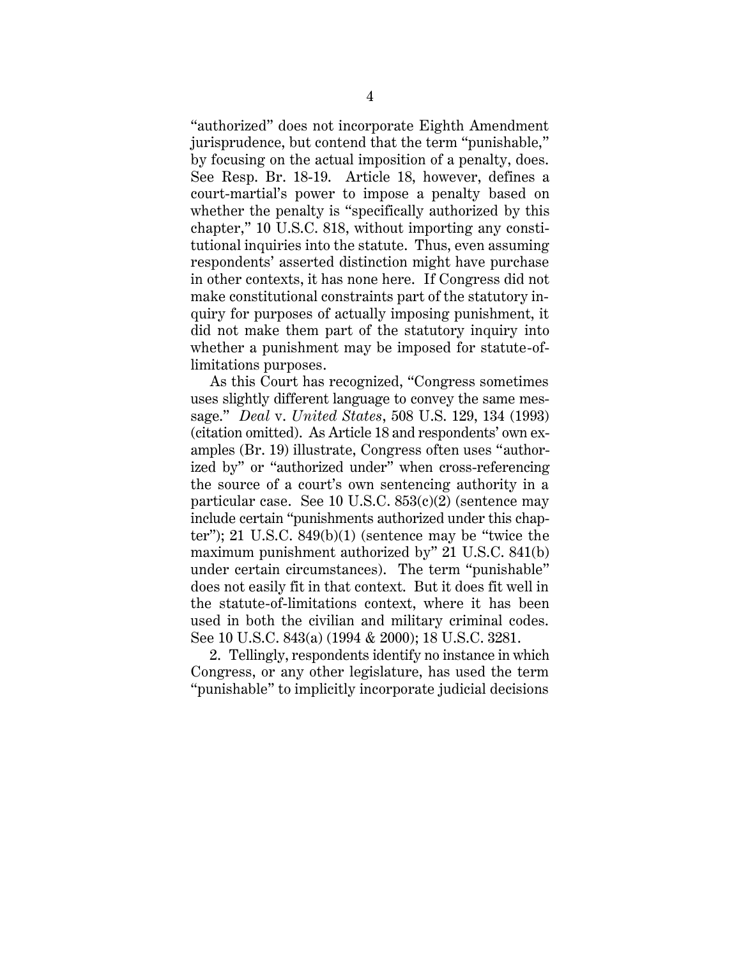"authorized" does not incorporate Eighth Amendment jurisprudence, but contend that the term "punishable," by focusing on the actual imposition of a penalty, does. See Resp. Br. 18-19. Article 18, however, defines a court-martial's power to impose a penalty based on whether the penalty is "specifically authorized by this chapter," 10 U.S.C. 818, without importing any constitutional inquiries into the statute. Thus, even assuming respondents' asserted distinction might have purchase in other contexts, it has none here. If Congress did not make constitutional constraints part of the statutory inquiry for purposes of actually imposing punishment, it did not make them part of the statutory inquiry into whether a punishment may be imposed for statute-oflimitations purposes.

As this Court has recognized, "Congress sometimes uses slightly different language to convey the same message." *Deal* v. *United States*, 508 U.S. 129, 134 (1993) (citation omitted). As Article 18 and respondents' own examples (Br. 19) illustrate, Congress often uses "authorized by" or "authorized under" when cross-referencing the source of a court's own sentencing authority in a particular case. See 10 U.S.C. 853(c)(2) (sentence may include certain "punishments authorized under this chapter"); 21 U.S.C.  $849(b)(1)$  (sentence may be "twice the maximum punishment authorized by" 21 U.S.C. 841(b) under certain circumstances). The term "punishable" does not easily fit in that context. But it does fit well in the statute-of-limitations context, where it has been used in both the civilian and military criminal codes. See 10 U.S.C. 843(a) (1994 & 2000); 18 U.S.C. 3281.

2. Tellingly, respondents identify no instance in which Congress, or any other legislature, has used the term "punishable" to implicitly incorporate judicial decisions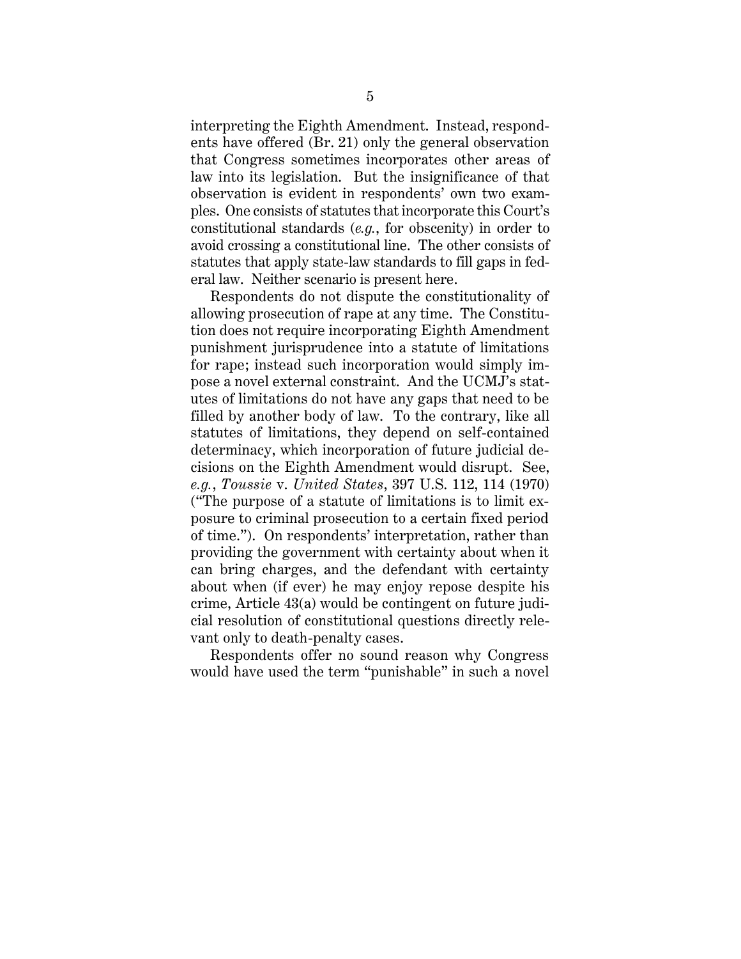interpreting the Eighth Amendment. Instead, respondents have offered (Br. 21) only the general observation that Congress sometimes incorporates other areas of law into its legislation. But the insignificance of that observation is evident in respondents' own two examples. One consists of statutes that incorporate this Court's constitutional standards (*e.g.*, for obscenity) in order to avoid crossing a constitutional line. The other consists of statutes that apply state-law standards to fill gaps in federal law. Neither scenario is present here.

Respondents do not dispute the constitutionality of allowing prosecution of rape at any time. The Constitution does not require incorporating Eighth Amendment punishment jurisprudence into a statute of limitations for rape; instead such incorporation would simply impose a novel external constraint. And the UCMJ's statutes of limitations do not have any gaps that need to be filled by another body of law. To the contrary, like all statutes of limitations, they depend on self-contained determinacy, which incorporation of future judicial decisions on the Eighth Amendment would disrupt. See, *e.g.*, *Toussie* v. *United States*, 397 U.S. 112, 114 (1970) ("The purpose of a statute of limitations is to limit exposure to criminal prosecution to a certain fixed period of time."). On respondents' interpretation, rather than providing the government with certainty about when it can bring charges, and the defendant with certainty about when (if ever) he may enjoy repose despite his crime, Article 43(a) would be contingent on future judicial resolution of constitutional questions directly relevant only to death-penalty cases.

Respondents offer no sound reason why Congress would have used the term "punishable" in such a novel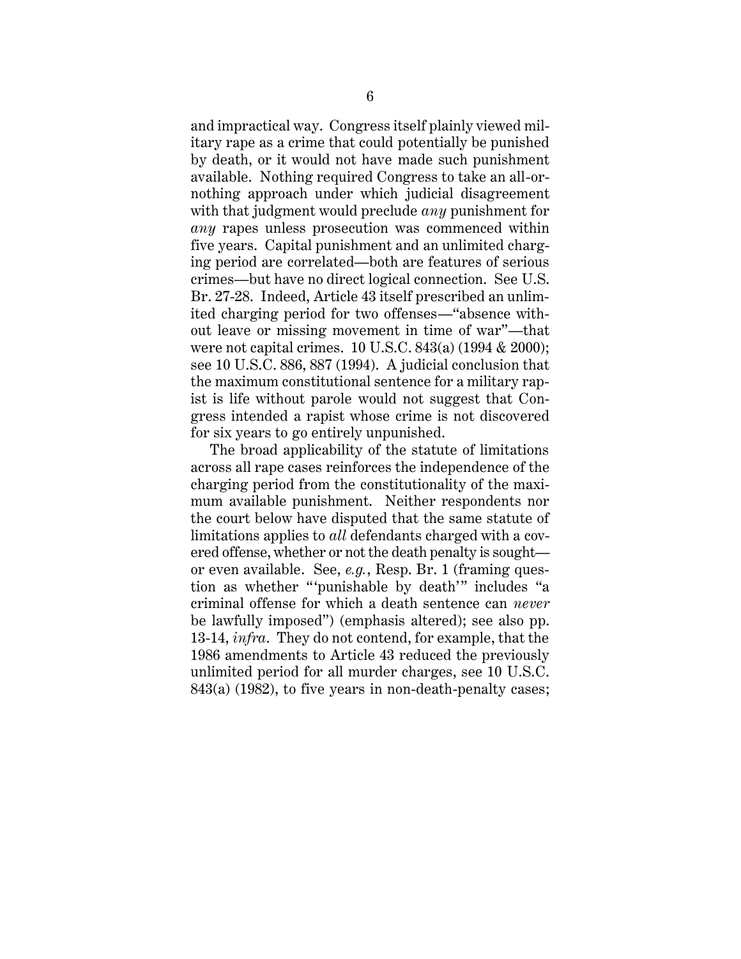and impractical way. Congress itself plainly viewed military rape as a crime that could potentially be punished by death, or it would not have made such punishment available. Nothing required Congress to take an all-ornothing approach under which judicial disagreement with that judgment would preclude *any* punishment for *any* rapes unless prosecution was commenced within five years. Capital punishment and an unlimited charging period are correlated—both are features of serious crimes—but have no direct logical connection. See U.S. Br. 27-28. Indeed, Article 43 itself prescribed an unlimited charging period for two offenses—"absence without leave or missing movement in time of war"—that were not capital crimes. 10 U.S.C. 843(a) (1994 & 2000); see 10 U.S.C. 886, 887 (1994). A judicial conclusion that the maximum constitutional sentence for a military rapist is life without parole would not suggest that Congress intended a rapist whose crime is not discovered for six years to go entirely unpunished.

The broad applicability of the statute of limitations across all rape cases reinforces the independence of the charging period from the constitutionality of the maximum available punishment. Neither respondents nor the court below have disputed that the same statute of limitations applies to *all* defendants charged with a covered offense, whether or not the death penalty is sought or even available. See, *e.g.*, Resp. Br. 1 (framing question as whether "'punishable by death'" includes "a criminal offense for which a death sentence can *never*  be lawfully imposed") (emphasis altered); see also pp. 13-14, *infra*. They do not contend, for example, that the 1986 amendments to Article 43 reduced the previously unlimited period for all murder charges, see 10 U.S.C. 843(a) (1982), to five years in non-death-penalty cases;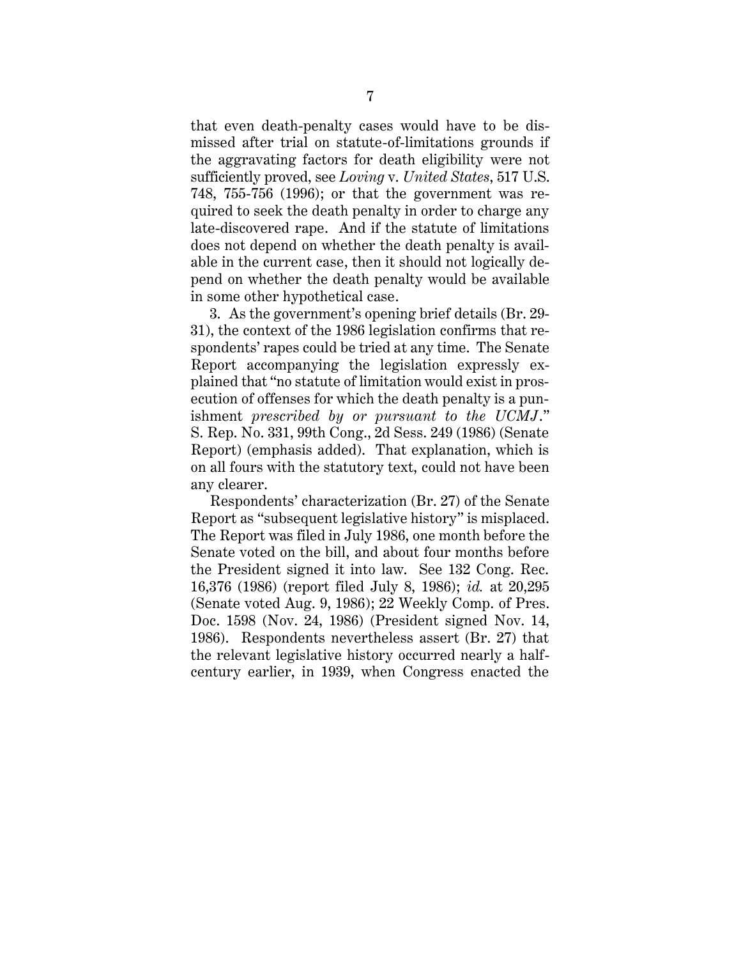that even death-penalty cases would have to be dismissed after trial on statute-of-limitations grounds if the aggravating factors for death eligibility were not sufficiently proved, see *Loving* v. *United States*, 517 U.S. 748, 755-756 (1996); or that the government was required to seek the death penalty in order to charge any late-discovered rape. And if the statute of limitations does not depend on whether the death penalty is available in the current case, then it should not logically depend on whether the death penalty would be available in some other hypothetical case.

3. As the government's opening brief details (Br. 29- 31), the context of the 1986 legislation confirms that respondents' rapes could be tried at any time. The Senate Report accompanying the legislation expressly explained that "no statute of limitation would exist in prosecution of offenses for which the death penalty is a punishment *prescribed by or pursuant to the UCMJ*." S. Rep. No. 331, 99th Cong., 2d Sess. 249 (1986) (Senate Report) (emphasis added). That explanation, which is on all fours with the statutory text, could not have been any clearer.

Respondents' characterization (Br. 27) of the Senate Report as "subsequent legislative history" is misplaced. The Report was filed in July 1986, one month before the Senate voted on the bill, and about four months before the President signed it into law. See 132 Cong. Rec. 16,376 (1986) (report filed July 8, 1986); *id.* at 20,295 (Senate voted Aug. 9, 1986); 22 Weekly Comp. of Pres. Doc. 1598 (Nov. 24, 1986) (President signed Nov. 14, 1986). Respondents nevertheless assert (Br. 27) that the relevant legislative history occurred nearly a halfcentury earlier, in 1939, when Congress enacted the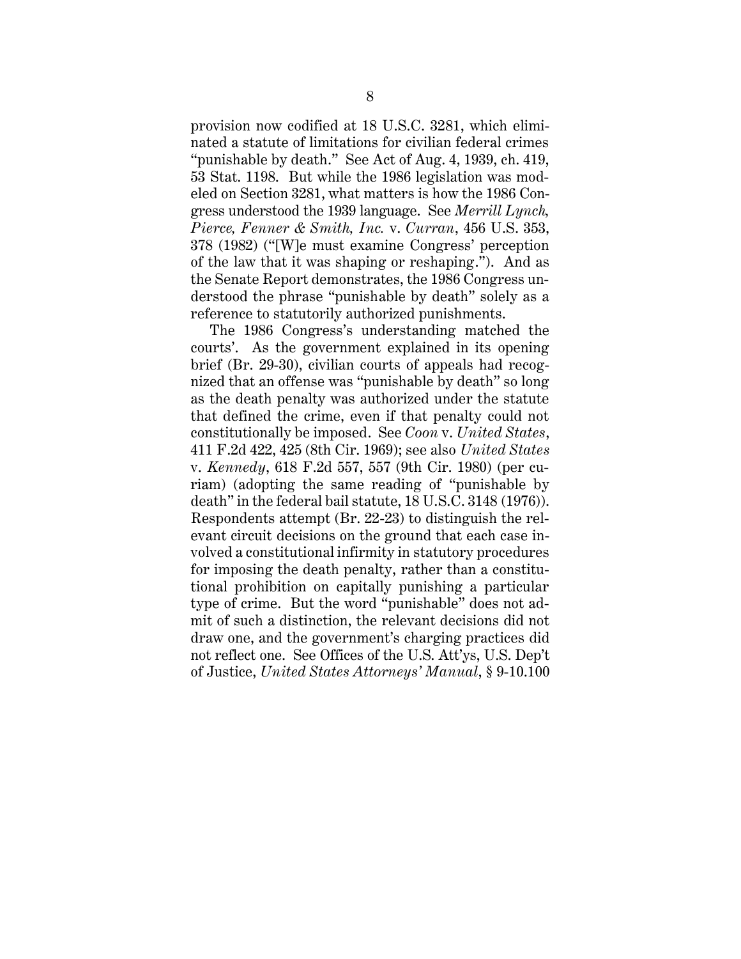provision now codified at 18 U.S.C. 3281, which eliminated a statute of limitations for civilian federal crimes "punishable by death." See Act of Aug. 4, 1939, ch. 419, 53 Stat. 1198. But while the 1986 legislation was modeled on Section 3281, what matters is how the 1986 Congress understood the 1939 language. See *Merrill Lynch, Pierce, Fenner & Smith, Inc.* v. *Curran*, 456 U.S. 353, 378 (1982) ("[W]e must examine Congress' perception of the law that it was shaping or reshaping."). And as the Senate Report demonstrates, the 1986 Congress understood the phrase "punishable by death" solely as a reference to statutorily authorized punishments.

The 1986 Congress's understanding matched the courts'. As the government explained in its opening brief (Br. 29-30), civilian courts of appeals had recognized that an offense was "punishable by death" so long as the death penalty was authorized under the statute that defined the crime, even if that penalty could not constitutionally be imposed. See *Coon* v. *United States*, 411 F.2d 422, 425 (8th Cir. 1969); see also *United States* v. *Kennedy*, 618 F.2d 557, 557 (9th Cir. 1980) (per curiam) (adopting the same reading of "punishable by death" in the federal bail statute, 18 U.S.C. 3148 (1976)). Respondents attempt (Br. 22-23) to distinguish the relevant circuit decisions on the ground that each case involved a constitutional infirmity in statutory procedures for imposing the death penalty, rather than a constitutional prohibition on capitally punishing a particular type of crime. But the word "punishable" does not admit of such a distinction, the relevant decisions did not draw one, and the government's charging practices did not reflect one. See Offices of the U.S. Att'ys, U.S. Dep't of Justice, *United States Attorneys' Manual*, § 9-10.100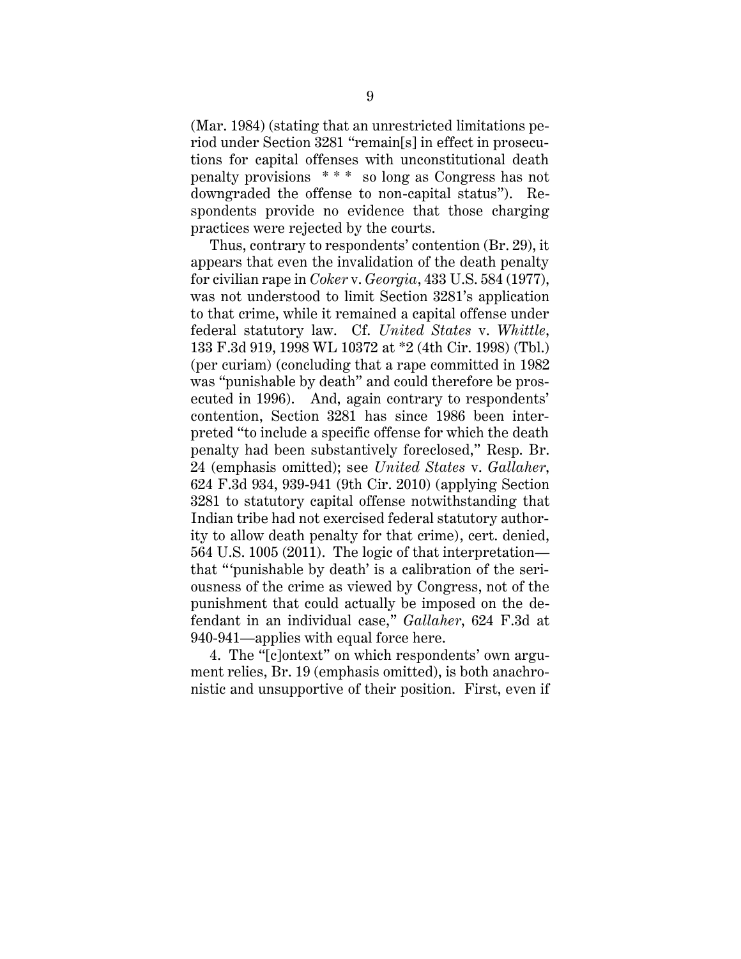(Mar. 1984) (stating that an unrestricted limitations period under Section 3281 "remain[s] in effect in prosecutions for capital offenses with unconstitutional death penalty provisions \* \* \* so long as Congress has not downgraded the offense to non-capital status"). Respondents provide no evidence that those charging practices were rejected by the courts.

Thus, contrary to respondents' contention (Br. 29), it appears that even the invalidation of the death penalty for civilian rape in *Coker* v. *Georgia*, 433 U.S. 584 (1977), was not understood to limit Section 3281's application to that crime, while it remained a capital offense under federal statutory law. Cf. *United States* v. *Whittle*, 133 F.3d 919, 1998 WL 10372 at \*2 (4th Cir. 1998) (Tbl.) (per curiam) (concluding that a rape committed in 1982 was "punishable by death" and could therefore be prosecuted in 1996). And, again contrary to respondents' contention, Section 3281 has since 1986 been interpreted "to include a specific offense for which the death penalty had been substantively foreclosed," Resp. Br. 24 (emphasis omitted); see *United States* v. *Gallaher*, 624 F.3d 934, 939-941 (9th Cir. 2010) (applying Section 3281 to statutory capital offense notwithstanding that Indian tribe had not exercised federal statutory authority to allow death penalty for that crime), cert. denied, 564 U.S. 1005 (2011). The logic of that interpretation that "'punishable by death' is a calibration of the seriousness of the crime as viewed by Congress, not of the punishment that could actually be imposed on the defendant in an individual case," *Gallaher*, 624 F.3d at 940-941—applies with equal force here.

4. The "[c]ontext" on which respondents' own argument relies, Br. 19 (emphasis omitted), is both anachronistic and unsupportive of their position. First, even if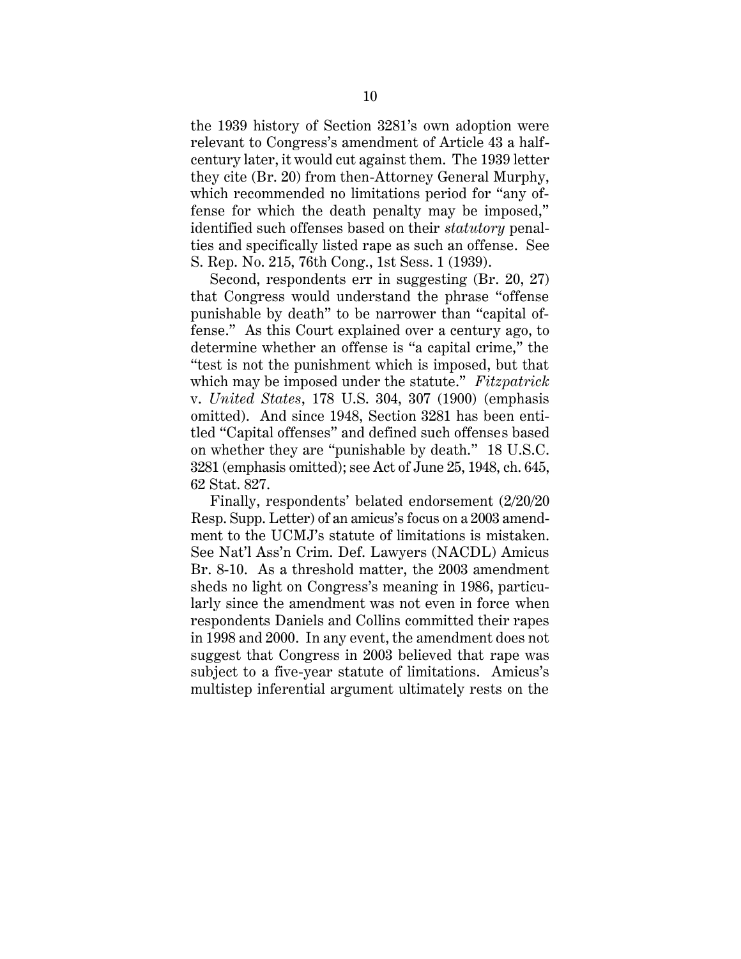the 1939 history of Section 3281's own adoption were relevant to Congress's amendment of Article 43 a halfcentury later, it would cut against them. The 1939 letter they cite (Br. 20) from then-Attorney General Murphy, which recommended no limitations period for "any offense for which the death penalty may be imposed," identified such offenses based on their *statutory* penalties and specifically listed rape as such an offense. See S. Rep. No. 215, 76th Cong., 1st Sess. 1 (1939).

Second, respondents err in suggesting (Br. 20, 27) that Congress would understand the phrase "offense punishable by death" to be narrower than "capital offense." As this Court explained over a century ago, to determine whether an offense is "a capital crime," the "test is not the punishment which is imposed, but that which may be imposed under the statute." *Fitzpatrick* v. *United States*, 178 U.S. 304, 307 (1900) (emphasis omitted). And since 1948, Section 3281 has been entitled "Capital offenses" and defined such offenses based on whether they are "punishable by death." 18 U.S.C. 3281 (emphasis omitted); see Act of June 25, 1948, ch. 645, 62 Stat. 827.

Finally, respondents' belated endorsement (2/20/20 Resp. Supp. Letter) of an amicus's focus on a 2003 amendment to the UCMJ's statute of limitations is mistaken. See Nat'l Ass'n Crim. Def. Lawyers (NACDL) Amicus Br. 8-10. As a threshold matter, the 2003 amendment sheds no light on Congress's meaning in 1986, particularly since the amendment was not even in force when respondents Daniels and Collins committed their rapes in 1998 and 2000. In any event, the amendment does not suggest that Congress in 2003 believed that rape was subject to a five-year statute of limitations. Amicus's multistep inferential argument ultimately rests on the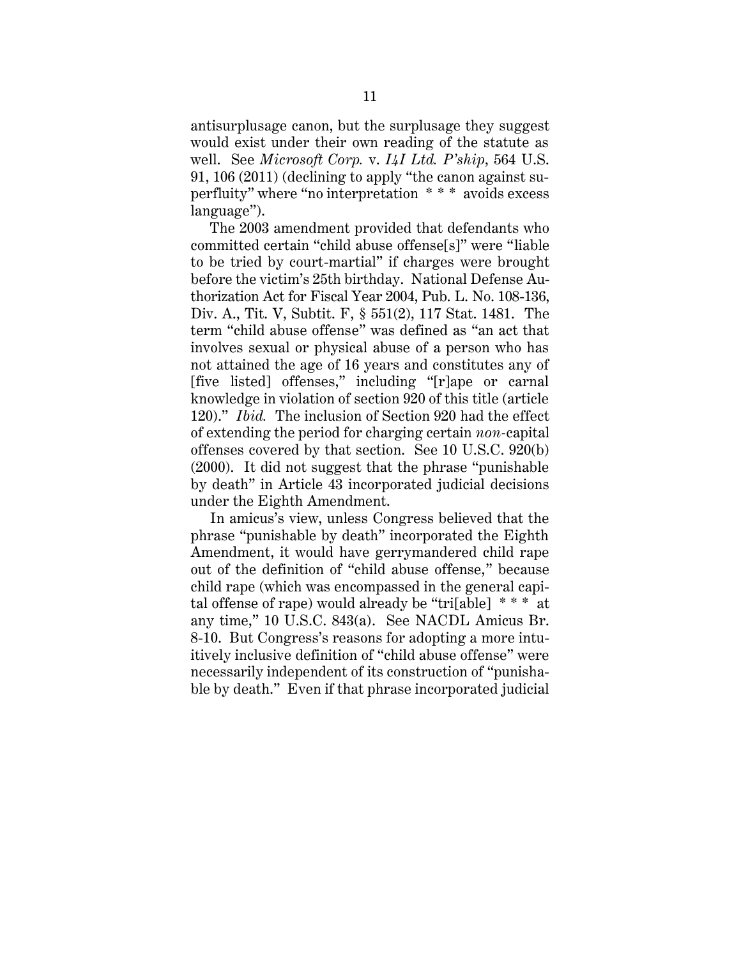antisurplusage canon, but the surplusage they suggest would exist under their own reading of the statute as well. See *Microsoft Corp.* v. *I4I Ltd. P'ship*, 564 U.S. 91, 106 (2011) (declining to apply "the canon against superfluity" where "no interpretation \* \* \* avoids excess language").

The 2003 amendment provided that defendants who committed certain "child abuse offense[s]" were "liable to be tried by court-martial" if charges were brought before the victim's 25th birthday. National Defense Authorization Act for Fiscal Year 2004, Pub. L. No. 108-136, Div. A., Tit. V, Subtit. F, § 551(2), 117 Stat. 1481. The term "child abuse offense" was defined as "an act that involves sexual or physical abuse of a person who has not attained the age of 16 years and constitutes any of [five listed] offenses," including "[r]ape or carnal knowledge in violation of section 920 of this title (article 120)." *Ibid.* The inclusion of Section 920 had the effect of extending the period for charging certain *non-*capital offenses covered by that section. See 10 U.S.C. 920(b) (2000). It did not suggest that the phrase "punishable by death" in Article 43 incorporated judicial decisions under the Eighth Amendment.

In amicus's view, unless Congress believed that the phrase "punishable by death" incorporated the Eighth Amendment, it would have gerrymandered child rape out of the definition of "child abuse offense," because child rape (which was encompassed in the general capital offense of rape) would already be "tri[able] \* \* \* at any time," 10 U.S.C. 843(a). See NACDL Amicus Br. 8-10. But Congress's reasons for adopting a more intuitively inclusive definition of "child abuse offense" were necessarily independent of its construction of "punishable by death." Even if that phrase incorporated judicial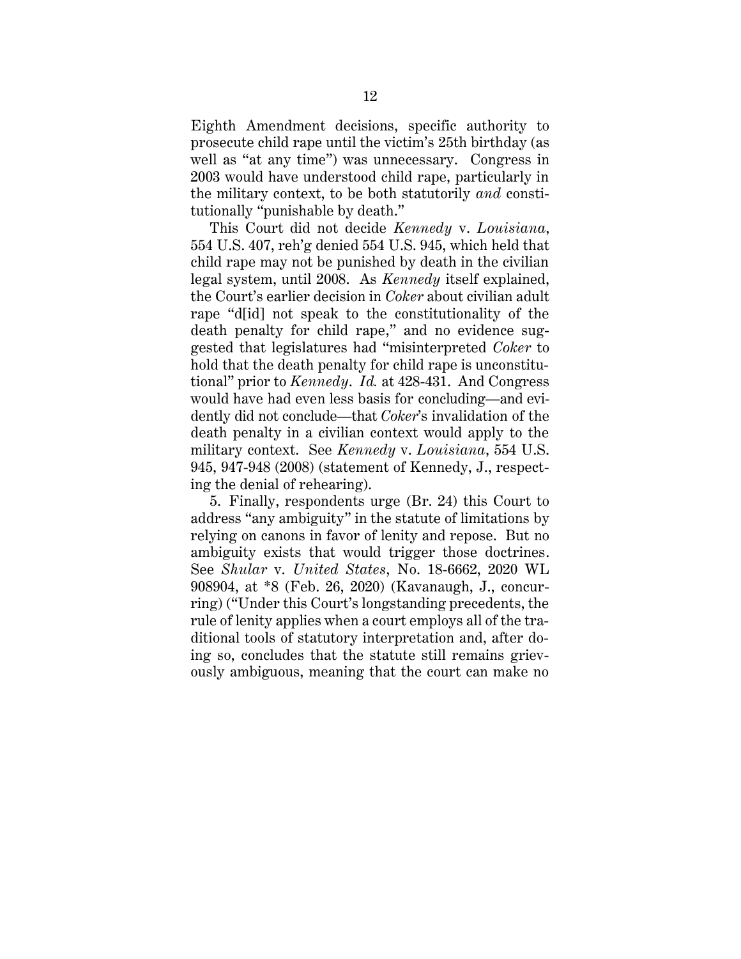Eighth Amendment decisions, specific authority to prosecute child rape until the victim's 25th birthday (as well as "at any time") was unnecessary. Congress in 2003 would have understood child rape, particularly in the military context, to be both statutorily *and* constitutionally "punishable by death."

This Court did not decide *Kennedy* v. *Louisiana*, 554 U.S. 407, reh'g denied 554 U.S. 945, which held that child rape may not be punished by death in the civilian legal system, until 2008. As *Kennedy* itself explained, the Court's earlier decision in *Coker* about civilian adult rape "d[id] not speak to the constitutionality of the death penalty for child rape," and no evidence suggested that legislatures had "misinterpreted *Coker* to hold that the death penalty for child rape is unconstitutional" prior to *Kennedy*. *Id.* at 428-431. And Congress would have had even less basis for concluding—and evidently did not conclude—that *Coker*'s invalidation of the death penalty in a civilian context would apply to the military context. See *Kennedy* v. *Louisiana*, 554 U.S. 945, 947-948 (2008) (statement of Kennedy, J., respecting the denial of rehearing).

5. Finally, respondents urge (Br. 24) this Court to address "any ambiguity" in the statute of limitations by relying on canons in favor of lenity and repose. But no ambiguity exists that would trigger those doctrines. See *Shular* v. *United States*, No. 18-6662, 2020 WL 908904, at \*8 (Feb. 26, 2020) (Kavanaugh, J., concurring) ("Under this Court's longstanding precedents, the rule of lenity applies when a court employs all of the traditional tools of statutory interpretation and, after doing so, concludes that the statute still remains grievously ambiguous, meaning that the court can make no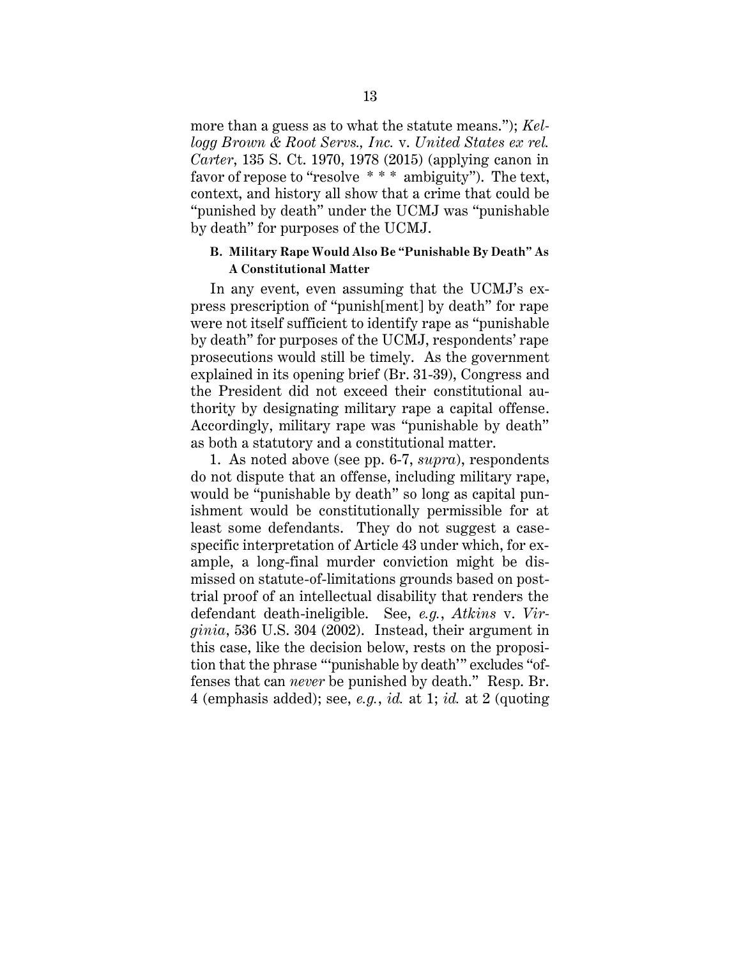more than a guess as to what the statute means."); *Kellogg Brown & Root Servs., Inc.* v. *United States ex rel. Carter*, 135 S. Ct. 1970, 1978 (2015) (applying canon in favor of repose to "resolve \* \* \* ambiguity"). The text, context, and history all show that a crime that could be "punished by death" under the UCMJ was "punishable by death" for purposes of the UCMJ.

#### **B. Military Rape Would Also Be "Punishable By Death" As A Constitutional Matter**

In any event, even assuming that the UCMJ's express prescription of "punish[ment] by death" for rape were not itself sufficient to identify rape as "punishable by death" for purposes of the UCMJ, respondents' rape prosecutions would still be timely. As the government explained in its opening brief (Br. 31-39), Congress and the President did not exceed their constitutional authority by designating military rape a capital offense. Accordingly, military rape was "punishable by death" as both a statutory and a constitutional matter.

1. As noted above (see pp. 6-7, *supra*), respondents do not dispute that an offense, including military rape, would be "punishable by death" so long as capital punishment would be constitutionally permissible for at least some defendants. They do not suggest a casespecific interpretation of Article 43 under which, for example, a long-final murder conviction might be dismissed on statute-of-limitations grounds based on posttrial proof of an intellectual disability that renders the defendant death-ineligible. See, *e.g.*, *Atkins* v. *Virginia*, 536 U.S. 304 (2002). Instead, their argument in this case, like the decision below, rests on the proposition that the phrase "'punishable by death'" excludes "offenses that can *never* be punished by death." Resp. Br. 4 (emphasis added); see, *e.g.*, *id.* at 1; *id.* at 2 (quoting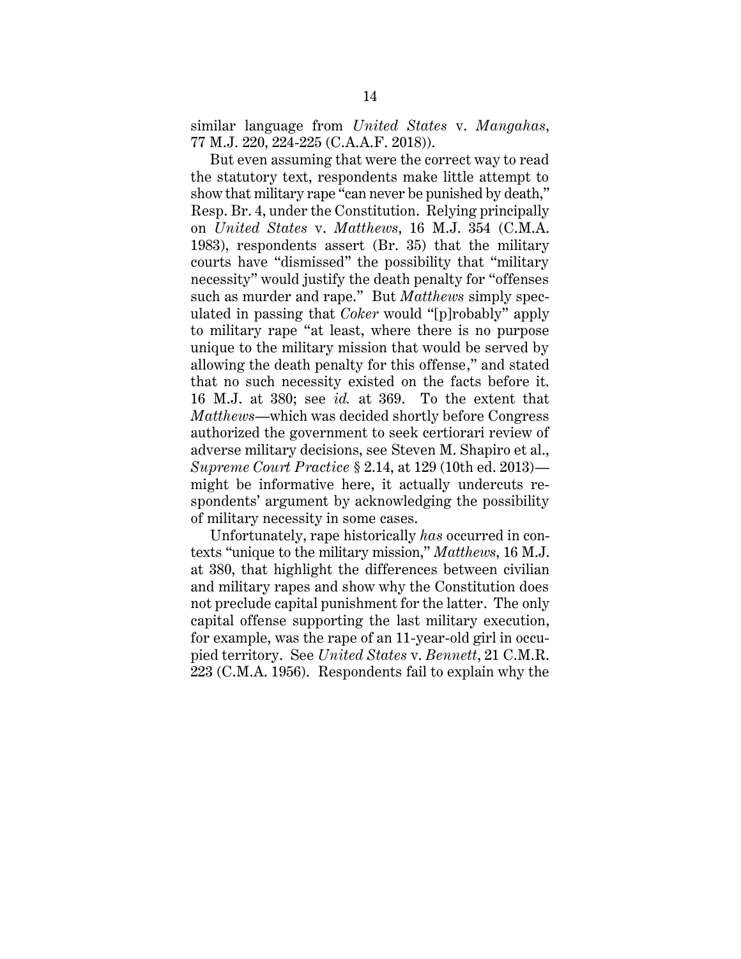similar language from *United States* v. *Mangahas*, 77 M.J. 220, 224-225 (C.A.A.F. 2018)).

But even assuming that were the correct way to read the statutory text, respondents make little attempt to show that military rape "can never be punished by death," Resp. Br. 4, under the Constitution. Relying principally on *United States* v. *Matthews*, 16 M.J. 354 (C.M.A. 1983), respondents assert (Br. 35) that the military courts have "dismissed" the possibility that "military necessity" would justify the death penalty for "offenses such as murder and rape." But *Matthews* simply speculated in passing that *Coker* would "[p]robably" apply to military rape "at least, where there is no purpose unique to the military mission that would be served by allowing the death penalty for this offense," and stated that no such necessity existed on the facts before it. 16 M.J. at 380; see *id.* at 369. To the extent that *Matthews*—which was decided shortly before Congress authorized the government to seek certiorari review of adverse military decisions, see Steven M. Shapiro et al., *Supreme Court Practice* § 2.14, at 129 (10th ed. 2013) might be informative here, it actually undercuts respondents' argument by acknowledging the possibility of military necessity in some cases.

Unfortunately, rape historically *has* occurred in contexts "unique to the military mission," *Matthews*, 16 M.J. at 380, that highlight the differences between civilian and military rapes and show why the Constitution does not preclude capital punishment for the latter. The only capital offense supporting the last military execution, for example, was the rape of an 11-year-old girl in occupied territory. See *United States* v. *Bennett*, 21 C.M.R. 223 (C.M.A. 1956). Respondents fail to explain why the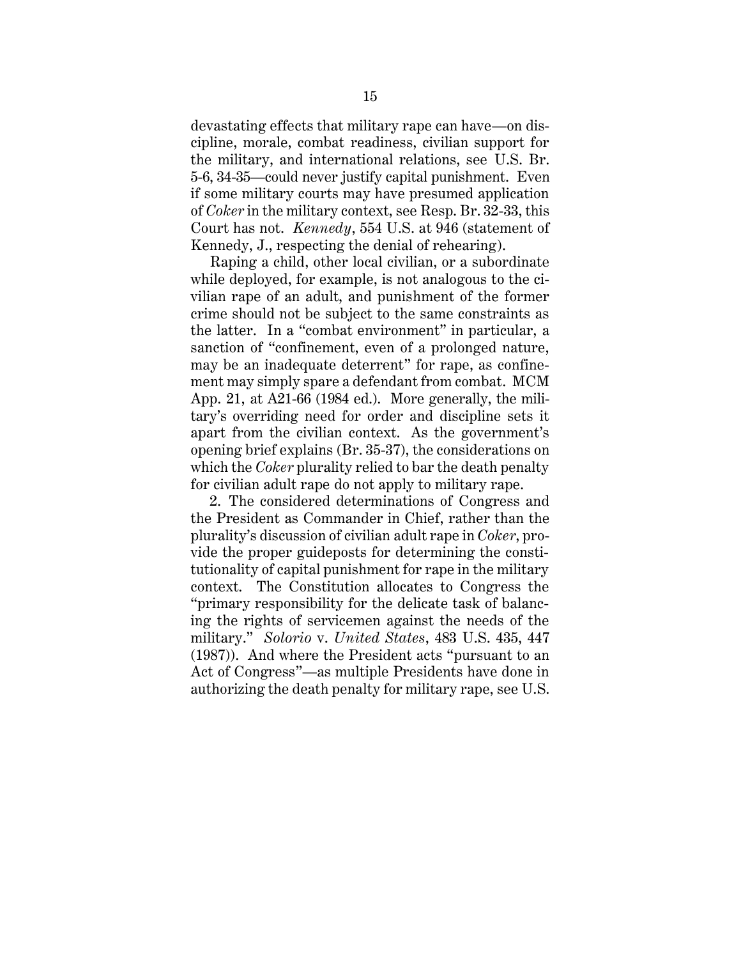devastating effects that military rape can have—on discipline, morale, combat readiness, civilian support for the military, and international relations, see U.S. Br. 5-6, 34-35—could never justify capital punishment. Even if some military courts may have presumed application of *Coker* in the military context, see Resp. Br. 32-33, this Court has not. *Kennedy*, 554 U.S. at 946 (statement of Kennedy, J., respecting the denial of rehearing).

Raping a child, other local civilian, or a subordinate while deployed, for example, is not analogous to the civilian rape of an adult, and punishment of the former crime should not be subject to the same constraints as the latter. In a "combat environment" in particular, a sanction of "confinement, even of a prolonged nature, may be an inadequate deterrent" for rape, as confinement may simply spare a defendant from combat. MCM App. 21, at A21-66 (1984 ed.). More generally, the military's overriding need for order and discipline sets it apart from the civilian context. As the government's opening brief explains (Br. 35-37), the considerations on which the *Coker* plurality relied to bar the death penalty for civilian adult rape do not apply to military rape.

2. The considered determinations of Congress and the President as Commander in Chief, rather than the plurality's discussion of civilian adult rape in *Coker*, provide the proper guideposts for determining the constitutionality of capital punishment for rape in the military context. The Constitution allocates to Congress the "primary responsibility for the delicate task of balancing the rights of servicemen against the needs of the military." *Solorio* v. *United States*, 483 U.S. 435, 447 (1987)). And where the President acts "pursuant to an Act of Congress"—as multiple Presidents have done in authorizing the death penalty for military rape, see U.S.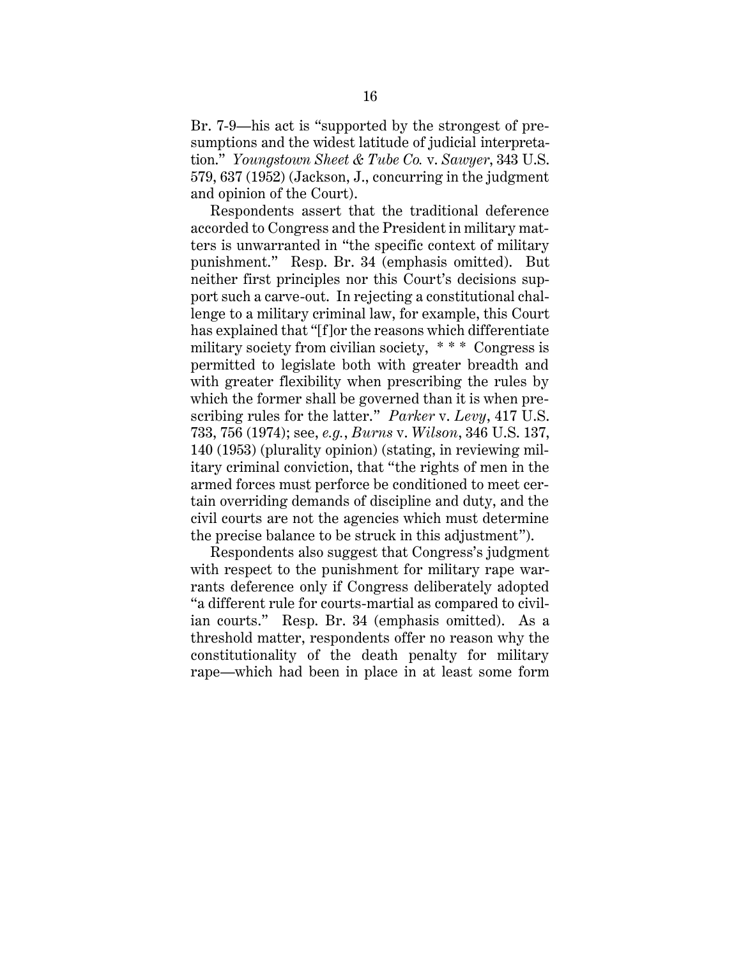Br. 7-9—his act is "supported by the strongest of presumptions and the widest latitude of judicial interpretation." *Youngstown Sheet & Tube Co.* v. *Sawyer*, 343 U.S. 579, 637 (1952) (Jackson, J., concurring in the judgment and opinion of the Court).

Respondents assert that the traditional deference accorded to Congress and the President in military matters is unwarranted in "the specific context of military punishment." Resp. Br. 34 (emphasis omitted). But neither first principles nor this Court's decisions support such a carve-out. In rejecting a constitutional challenge to a military criminal law, for example, this Court has explained that "[f]or the reasons which differentiate military society from civilian society, \* \* \* Congress is permitted to legislate both with greater breadth and with greater flexibility when prescribing the rules by which the former shall be governed than it is when prescribing rules for the latter." *Parker* v. *Levy*, 417 U.S. 733, 756 (1974); see, *e.g.*, *Burns* v. *Wilson*, 346 U.S. 137, 140 (1953) (plurality opinion) (stating, in reviewing military criminal conviction, that "the rights of men in the armed forces must perforce be conditioned to meet certain overriding demands of discipline and duty, and the civil courts are not the agencies which must determine the precise balance to be struck in this adjustment").

Respondents also suggest that Congress's judgment with respect to the punishment for military rape warrants deference only if Congress deliberately adopted "a different rule for courts-martial as compared to civilian courts." Resp. Br. 34 (emphasis omitted). As a threshold matter, respondents offer no reason why the constitutionality of the death penalty for military rape—which had been in place in at least some form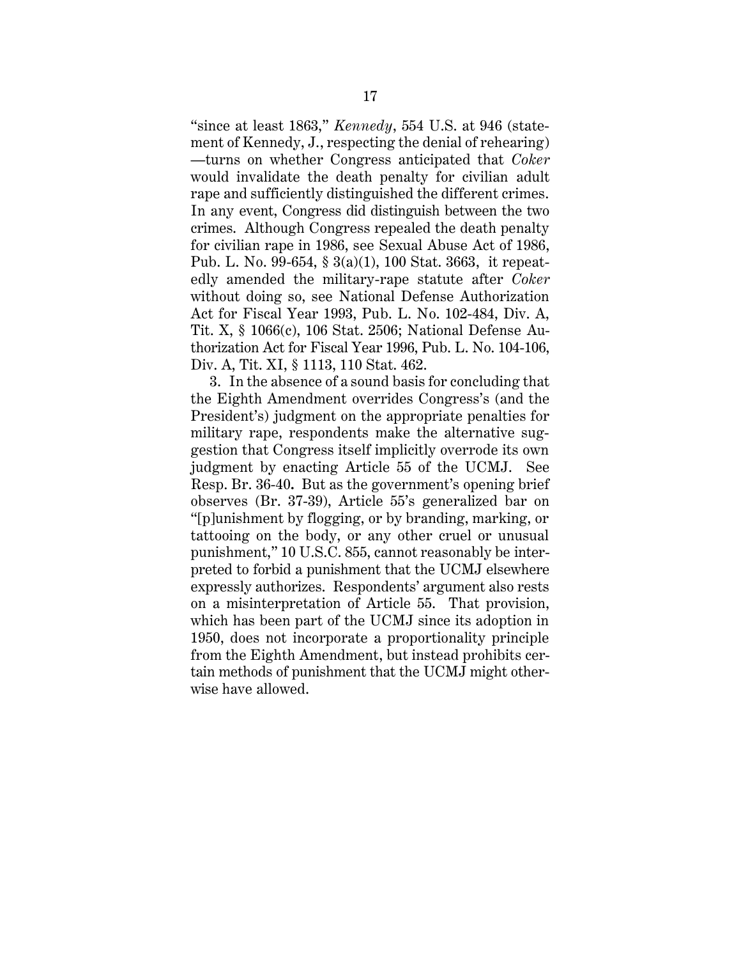"since at least 1863," *Kennedy*, 554 U.S. at 946 (statement of Kennedy, J., respecting the denial of rehearing) —turns on whether Congress anticipated that *Coker*  would invalidate the death penalty for civilian adult rape and sufficiently distinguished the different crimes. In any event, Congress did distinguish between the two crimes. Although Congress repealed the death penalty for civilian rape in 1986, see Sexual Abuse Act of 1986, Pub. L. No. 99-654, § 3(a)(1), 100 Stat. 3663, it repeatedly amended the military-rape statute after *Coker* without doing so, see National Defense Authorization Act for Fiscal Year 1993, Pub. L. No. 102-484, Div. A, Tit. X, § 1066(c), 106 Stat. 2506; National Defense Authorization Act for Fiscal Year 1996, Pub. L. No. 104-106, Div. A, Tit. XI, § 1113, 110 Stat. 462.

3. In the absence of a sound basis for concluding that the Eighth Amendment overrides Congress's (and the President's) judgment on the appropriate penalties for military rape, respondents make the alternative suggestion that Congress itself implicitly overrode its own judgment by enacting Article 55 of the UCMJ. See Resp. Br. 36-40**.** But as the government's opening brief observes (Br. 37-39), Article 55's generalized bar on "[p]unishment by flogging, or by branding, marking, or tattooing on the body, or any other cruel or unusual punishment," 10 U.S.C. 855, cannot reasonably be interpreted to forbid a punishment that the UCMJ elsewhere expressly authorizes. Respondents' argument also rests on a misinterpretation of Article 55. That provision, which has been part of the UCMJ since its adoption in 1950, does not incorporate a proportionality principle from the Eighth Amendment, but instead prohibits certain methods of punishment that the UCMJ might otherwise have allowed.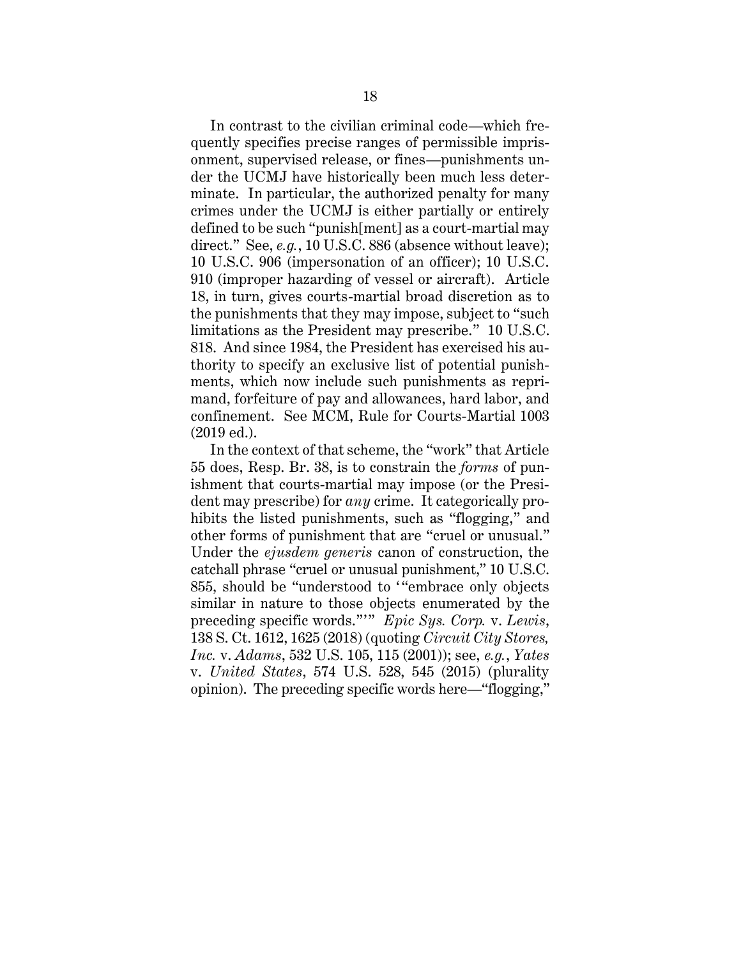In contrast to the civilian criminal code—which frequently specifies precise ranges of permissible imprisonment, supervised release, or fines—punishments under the UCMJ have historically been much less determinate. In particular, the authorized penalty for many crimes under the UCMJ is either partially or entirely defined to be such "punish[ment] as a court-martial may direct." See, *e.g.*, 10 U.S.C. 886 (absence without leave); 10 U.S.C. 906 (impersonation of an officer); 10 U.S.C. 910 (improper hazarding of vessel or aircraft). Article 18, in turn, gives courts-martial broad discretion as to the punishments that they may impose, subject to "such limitations as the President may prescribe." 10 U.S.C. 818. And since 1984, the President has exercised his authority to specify an exclusive list of potential punishments, which now include such punishments as reprimand, forfeiture of pay and allowances, hard labor, and confinement. See MCM, Rule for Courts-Martial 1003 (2019 ed.).

In the context of that scheme, the "work" that Article 55 does, Resp. Br. 38, is to constrain the *forms* of punishment that courts-martial may impose (or the President may prescribe) for *any* crime. It categorically prohibits the listed punishments, such as "flogging," and other forms of punishment that are "cruel or unusual." Under the *ejusdem generis* canon of construction, the catchall phrase "cruel or unusual punishment," 10 U.S.C. 855, should be "understood to "embrace only objects similar in nature to those objects enumerated by the preceding specific words."'" *Epic Sys. Corp.* v. *Lewis*, 138 S. Ct. 1612, 1625 (2018) (quoting *Circuit City Stores, Inc.* v. *Adams*, 532 U.S. 105, 115 (2001)); see, *e.g.*, *Yates* v. *United States*, 574 U.S. 528, 545 (2015) (plurality opinion). The preceding specific words here—"flogging,"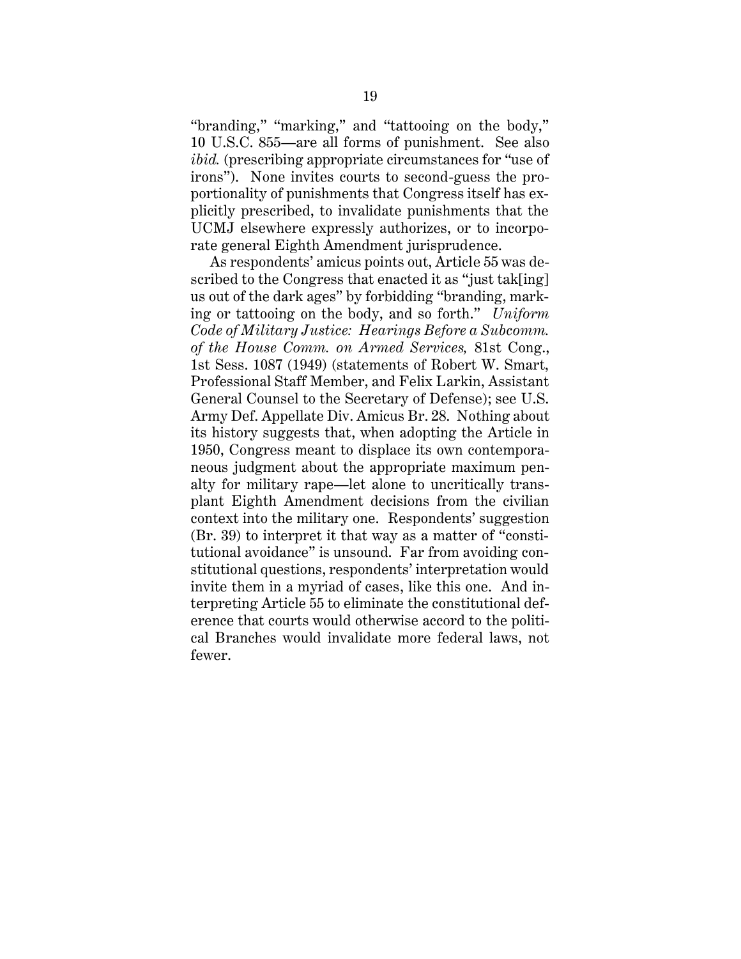"branding," "marking," and "tattooing on the body," 10 U.S.C. 855—are all forms of punishment. See also *ibid.* (prescribing appropriate circumstances for "use of irons"). None invites courts to second-guess the proportionality of punishments that Congress itself has explicitly prescribed, to invalidate punishments that the UCMJ elsewhere expressly authorizes, or to incorporate general Eighth Amendment jurisprudence.

As respondents' amicus points out, Article 55 was described to the Congress that enacted it as "just tak[ing] us out of the dark ages" by forbidding "branding, marking or tattooing on the body, and so forth." *Uniform Code of Military Justice: Hearings Before a Subcomm. of the House Comm. on Armed Services,* 81st Cong., 1st Sess. 1087 (1949) (statements of Robert W. Smart, Professional Staff Member, and Felix Larkin, Assistant General Counsel to the Secretary of Defense); see U.S. Army Def. Appellate Div. Amicus Br. 28. Nothing about its history suggests that, when adopting the Article in 1950, Congress meant to displace its own contemporaneous judgment about the appropriate maximum penalty for military rape—let alone to uncritically transplant Eighth Amendment decisions from the civilian context into the military one. Respondents' suggestion (Br. 39) to interpret it that way as a matter of "constitutional avoidance" is unsound. Far from avoiding constitutional questions, respondents' interpretation would invite them in a myriad of cases, like this one. And interpreting Article 55 to eliminate the constitutional deference that courts would otherwise accord to the political Branches would invalidate more federal laws, not fewer.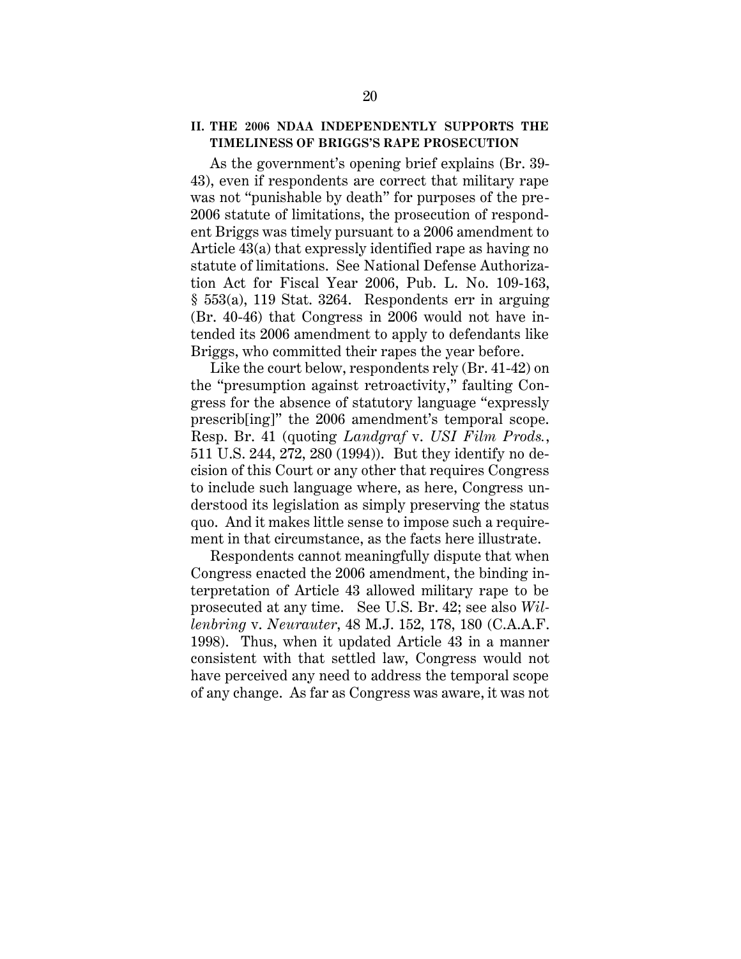#### **II. THE 2006 NDAA INDEPENDENTLY SUPPORTS THE TIMELINESS OF BRIGGS'S RAPE PROSECUTION**

As the government's opening brief explains (Br. 39- 43), even if respondents are correct that military rape was not "punishable by death" for purposes of the pre-2006 statute of limitations, the prosecution of respondent Briggs was timely pursuant to a 2006 amendment to Article 43(a) that expressly identified rape as having no statute of limitations. See National Defense Authorization Act for Fiscal Year 2006, Pub. L. No. 109-163, § 553(a), 119 Stat. 3264. Respondents err in arguing (Br. 40-46) that Congress in 2006 would not have intended its 2006 amendment to apply to defendants like Briggs, who committed their rapes the year before.

Like the court below, respondents rely (Br. 41-42) on the "presumption against retroactivity," faulting Congress for the absence of statutory language "expressly prescrib[ing]" the 2006 amendment's temporal scope. Resp. Br. 41 (quoting *Landgraf* v. *USI Film Prods.*, 511 U.S. 244, 272, 280 (1994)). But they identify no decision of this Court or any other that requires Congress to include such language where, as here, Congress understood its legislation as simply preserving the status quo. And it makes little sense to impose such a requirement in that circumstance, as the facts here illustrate.

Respondents cannot meaningfully dispute that when Congress enacted the 2006 amendment, the binding interpretation of Article 43 allowed military rape to be prosecuted at any time. See U.S. Br. 42; see also *Willenbring* v. *Neurauter*, 48 M.J. 152, 178, 180 (C.A.A.F. 1998). Thus, when it updated Article 43 in a manner consistent with that settled law, Congress would not have perceived any need to address the temporal scope of any change. As far as Congress was aware, it was not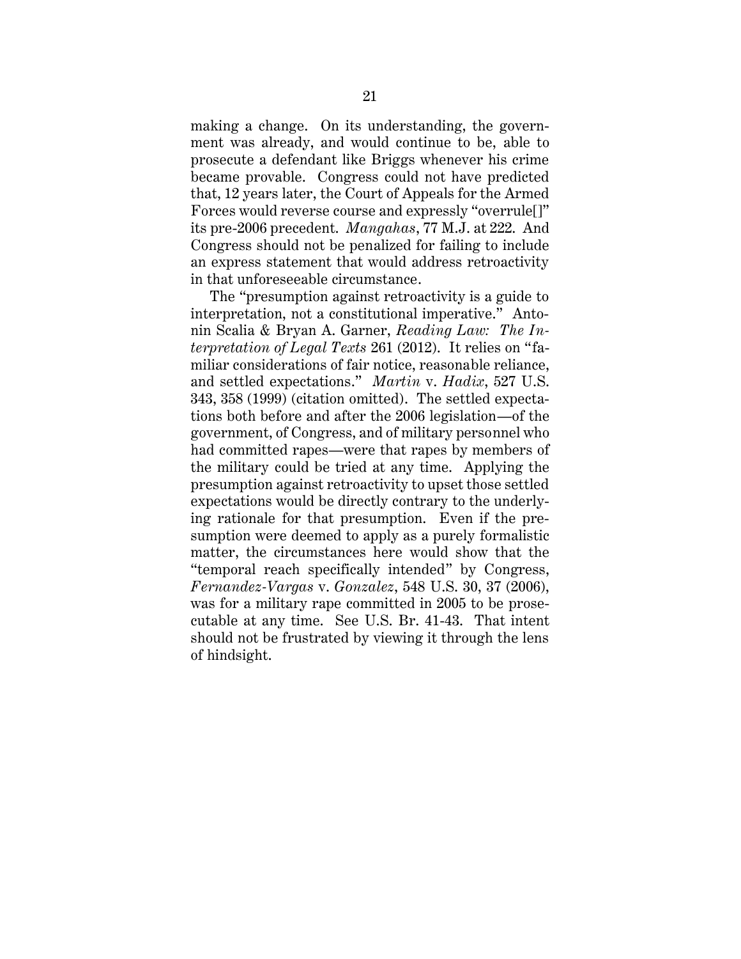making a change. On its understanding, the government was already, and would continue to be, able to prosecute a defendant like Briggs whenever his crime became provable. Congress could not have predicted that, 12 years later, the Court of Appeals for the Armed Forces would reverse course and expressly "overrule[]" its pre-2006 precedent. *Mangahas*, 77 M.J. at 222. And Congress should not be penalized for failing to include an express statement that would address retroactivity in that unforeseeable circumstance.

The "presumption against retroactivity is a guide to interpretation, not a constitutional imperative." Antonin Scalia & Bryan A. Garner, *Reading Law: The Interpretation of Legal Texts* 261 (2012). It relies on "familiar considerations of fair notice, reasonable reliance, and settled expectations." *Martin* v. *Hadix*, 527 U.S. 343, 358 (1999) (citation omitted). The settled expectations both before and after the 2006 legislation—of the government, of Congress, and of military personnel who had committed rapes—were that rapes by members of the military could be tried at any time. Applying the presumption against retroactivity to upset those settled expectations would be directly contrary to the underlying rationale for that presumption. Even if the presumption were deemed to apply as a purely formalistic matter, the circumstances here would show that the "temporal reach specifically intended" by Congress, *Fernandez-Vargas* v. *Gonzalez*, 548 U.S. 30, 37 (2006), was for a military rape committed in 2005 to be prosecutable at any time. See U.S. Br. 41-43. That intent should not be frustrated by viewing it through the lens of hindsight.